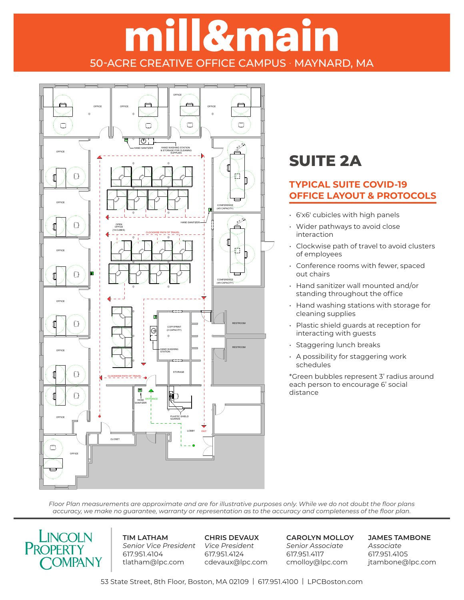# ill&main 50-ACRE CREATIVE OFFICE CAMPUS · MAYNARD, MA



### **SUITE 2A**

### **TYPICAL SUITE COVID-19 OFFICE LAYOUT & PROTOCOLS**

- 6'x6' cubicles with high panels
- Wider pathways to avoid close interaction
- Clockwise path of travel to avoid clusters of employees
- Conference rooms with fewer, spaced out chairs
- Hand sanitizer wall mounted and/or standing throughout the office
- Hand washing stations with storage for cleaning supplies
- Plastic shield guards at reception for interacting with guests
- Staggering lunch breaks
- A possibility for staggering work schedules

\*Green bubbles represent 3' radius around each person to encourage 6' social distance

*Floor Plan measurements are approximate and are for illustrative purposes only. While we do not doubt the floor plans*  accuracy, we make no guarantee, warranty or representation as to the accuracy and completeness of the floor plan.  $S_{\rm 3}$  = 1/16"  $=$  1/16"  $=$ 



**TIM LATHAM** *Senior Vice President* 617.951.4104 tlatham@lpc.com

**CHRIS DEVAUX** *Vice President* 617.951.4124 cdevaux@lpc.com **CAROLYN MOLLOY** *Senior Associate* 617.951.4117 cmolloy@lpc.com

**JAMES TAMBONE** *Associate* 617.951.4105 jtambone@lpc.com

53 State Street, 8th Floor, Boston, MA 02109 | 617.951.4100 | LPCBoston.com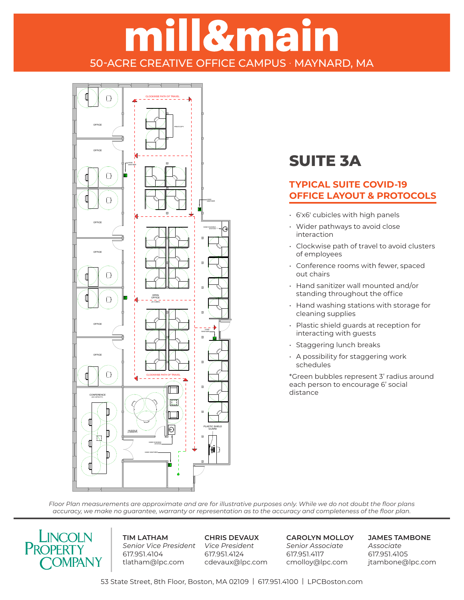## <u>Il&main</u> 50-ACRE CREATIVE OFFICE CAMPUS · MAYNARD, MA



### **SUITE 3A**

#### **TYPICAL SUITE COVID-19 OFFICE LAYOUT & PROTOCOLS**

- **6**'x6' cubicles with high panels
	- Wider pathways to avoid close interaction
	- Clockwise path of travel to avoid clusters of employees
	- Conference rooms with fewer, spaced out chairs
	- Hand sanitizer wall mounted and/or standing throughout the office
	- Hand washing stations with storage for cleaning supplies
	- Plastic shield guards at reception for interacting with guests
	- Staggering lunch breaks
	- A possibility for staggering work schedules

\*Green bubbles represent 3' radius around each person to encourage 6' social distance

*Floor Plan measurements are approximate and are for illustrative purposes only. While we do not doubt the floor plans*  accuracy, we make no guarantee, warranty or representation as to the accuracy and completeness of the floor plan.



**TIM LATHAM** *Senior Vice President Vice President* 617.951.4104 tlatham@lpc.com

**CHRIS DEVAUX** 617.951.4124 cdevaux@lpc.com **CAROLYN MOLLOY** *Senior Associate* 617.951.4117 cmolloy@lpc.com

**JAMES TAMBONE** *Associate* 617.951.4105 jtambone@lpc.com

53 State Street, 8th Floor, Boston, MA 02109 | 617.951.4100 | LPCBoston.com